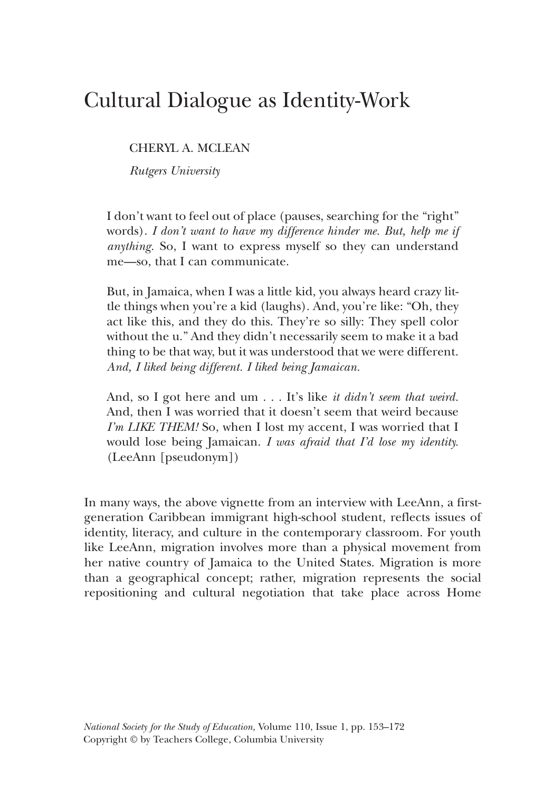# Cultural Dialogue as Identity-Work

CHERYL A. MCLEAN

*Rutgers University*

I don't want to feel out of place (pauses, searching for the "right" words). *I don't want to have my difference hinder me. But, help me if anything.* So, I want to express myself so they can understand me—so, that I can communicate.

But, in Jamaica, when I was a little kid, you always heard crazy little things when you're a kid (laughs). And, you're like: "Oh, they act like this, and they do this. They're so silly: They spell color without the u." And they didn't necessarily seem to make it a bad thing to be that way, but it was understood that we were different. *And, I liked being different. I liked being Jamaican.*

And, so I got here and um . . . It's like *it didn't seem that weird.* And, then I was worried that it doesn't seem that weird because *I'm LIKE THEM!* So, when I lost my accent, I was worried that I would lose being Jamaican. *I was afraid that I'd lose my identity.* (LeeAnn [pseudonym])

In many ways, the above vignette from an interview with LeeAnn, a firstgeneration Caribbean immigrant high-school student, reflects issues of identity, literacy, and culture in the contemporary classroom. For youth like LeeAnn, migration involves more than a physical movement from her native country of Jamaica to the United States. Migration is more than a geographical concept; rather, migration represents the social repositioning and cultural negotiation that take place across Home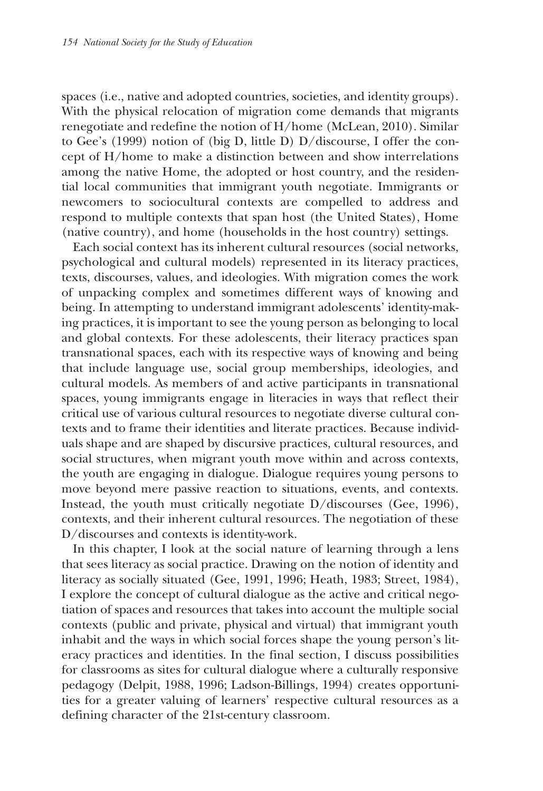spaces (i.e., native and adopted countries, societies, and identity groups). With the physical relocation of migration come demands that migrants renegotiate and redefine the notion of H/home (McLean, 2010). Similar to Gee's (1999) notion of (big D, little D) D/discourse, I offer the concept of H/home to make a distinction between and show interrelations among the native Home, the adopted or host country, and the residential local communities that immigrant youth negotiate. Immigrants or newcomers to sociocultural contexts are compelled to address and respond to multiple contexts that span host (the United States), Home (native country), and home (households in the host country) settings.

Each social context has its inherent cultural resources (social networks, psychological and cultural models) represented in its literacy practices, texts, discourses, values, and ideologies. With migration comes the work of unpacking complex and sometimes different ways of knowing and being. In attempting to understand immigrant adolescents' identity-making practices, it is important to see the young person as belonging to local and global contexts. For these adolescents, their literacy practices span transnational spaces, each with its respective ways of knowing and being that include language use, social group memberships, ideologies, and cultural models. As members of and active participants in transnational spaces, young immigrants engage in literacies in ways that reflect their critical use of various cultural resources to negotiate diverse cultural contexts and to frame their identities and literate practices. Because individuals shape and are shaped by discursive practices, cultural resources, and social structures, when migrant youth move within and across contexts, the youth are engaging in dialogue. Dialogue requires young persons to move beyond mere passive reaction to situations, events, and contexts. Instead, the youth must critically negotiate D/discourses (Gee, 1996), contexts, and their inherent cultural resources. The negotiation of these D/discourses and contexts is identity-work.

In this chapter, I look at the social nature of learning through a lens that sees literacy as social practice. Drawing on the notion of identity and literacy as socially situated (Gee, 1991, 1996; Heath, 1983; Street, 1984), I explore the concept of cultural dialogue as the active and critical negotiation of spaces and resources that takes into account the multiple social contexts (public and private, physical and virtual) that immigrant youth inhabit and the ways in which social forces shape the young person's literacy practices and identities. In the final section, I discuss possibilities for classrooms as sites for cultural dialogue where a culturally responsive pedagogy (Delpit, 1988, 1996; Ladson-Billings, 1994) creates opportunities for a greater valuing of learners' respective cultural resources as a defining character of the 21st-century classroom.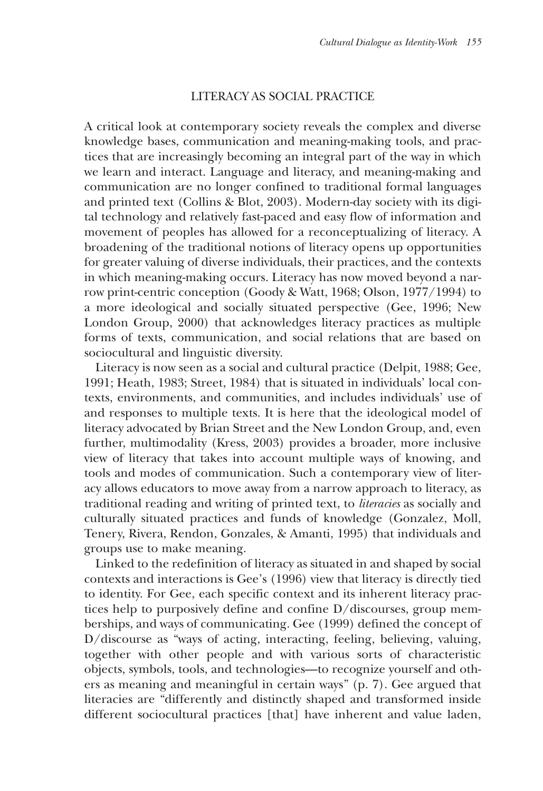## LITERACY AS SOCIAL PRACTICE

A critical look at contemporary society reveals the complex and diverse knowledge bases, communication and meaning-making tools, and practices that are increasingly becoming an integral part of the way in which we learn and interact. Language and literacy, and meaning-making and communication are no longer confined to traditional formal languages and printed text (Collins & Blot, 2003). Modern-day society with its digital technology and relatively fast-paced and easy flow of information and movement of peoples has allowed for a reconceptualizing of literacy. A broadening of the traditional notions of literacy opens up opportunities for greater valuing of diverse individuals, their practices, and the contexts in which meaning-making occurs. Literacy has now moved beyond a narrow print-centric conception (Goody & Watt, 1968; Olson, 1977/1994) to a more ideological and socially situated perspective (Gee, 1996; New London Group, 2000) that acknowledges literacy practices as multiple forms of texts, communication, and social relations that are based on sociocultural and linguistic diversity.

Literacy is now seen as a social and cultural practice (Delpit, 1988; Gee, 1991; Heath, 1983; Street, 1984) that is situated in individuals' local contexts, environments, and communities, and includes individuals' use of and responses to multiple texts. It is here that the ideological model of literacy advocated by Brian Street and the New London Group, and, even further, multimodality (Kress, 2003) provides a broader, more inclusive view of literacy that takes into account multiple ways of knowing, and tools and modes of communication. Such a contemporary view of literacy allows educators to move away from a narrow approach to literacy, as traditional reading and writing of printed text, to *literacies* as socially and culturally situated practices and funds of knowledge (Gonzalez, Moll, Tenery, Rivera, Rendon, Gonzales, & Amanti, 1995) that individuals and groups use to make meaning.

Linked to the redefinition of literacy as situated in and shaped by social contexts and interactions is Gee's (1996) view that literacy is directly tied to identity. For Gee, each specific context and its inherent literacy practices help to purposively define and confine D/discourses, group memberships, and ways of communicating. Gee (1999) defined the concept of D/discourse as "ways of acting, interacting, feeling, believing, valuing, together with other people and with various sorts of characteristic objects, symbols, tools, and technologies—to recognize yourself and others as meaning and meaningful in certain ways" (p. 7). Gee argued that literacies are "differently and distinctly shaped and transformed inside different sociocultural practices [that] have inherent and value laden,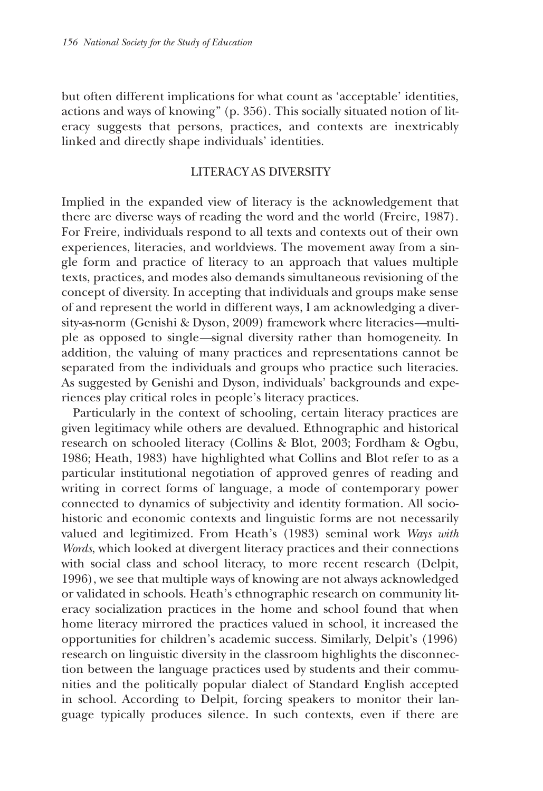but often different implications for what count as 'acceptable' identities, actions and ways of knowing" (p. 356). This socially situated notion of literacy suggests that persons, practices, and contexts are inextricably linked and directly shape individuals' identities.

## LITERACY AS DIVERSITY

Implied in the expanded view of literacy is the acknowledgement that there are diverse ways of reading the word and the world (Freire, 1987). For Freire, individuals respond to all texts and contexts out of their own experiences, literacies, and worldviews. The movement away from a single form and practice of literacy to an approach that values multiple texts, practices, and modes also demands simultaneous revisioning of the concept of diversity. In accepting that individuals and groups make sense of and represent the world in different ways, I am acknowledging a diversity-as-norm (Genishi & Dyson, 2009) framework where literacies*—*multiple as opposed to single*—*signal diversity rather than homogeneity. In addition, the valuing of many practices and representations cannot be separated from the individuals and groups who practice such literacies. As suggested by Genishi and Dyson, individuals' backgrounds and experiences play critical roles in people's literacy practices.

Particularly in the context of schooling, certain literacy practices are given legitimacy while others are devalued. Ethnographic and historical research on schooled literacy (Collins & Blot, 2003; Fordham & Ogbu, 1986; Heath, 1983) have highlighted what Collins and Blot refer to as a particular institutional negotiation of approved genres of reading and writing in correct forms of language, a mode of contemporary power connected to dynamics of subjectivity and identity formation. All sociohistoric and economic contexts and linguistic forms are not necessarily valued and legitimized. From Heath's (1983) seminal work *Ways with Words*, which looked at divergent literacy practices and their connections with social class and school literacy, to more recent research (Delpit, 1996), we see that multiple ways of knowing are not always acknowledged or validated in schools. Heath's ethnographic research on community literacy socialization practices in the home and school found that when home literacy mirrored the practices valued in school, it increased the opportunities for children's academic success. Similarly, Delpit's (1996) research on linguistic diversity in the classroom highlights the disconnection between the language practices used by students and their communities and the politically popular dialect of Standard English accepted in school. According to Delpit, forcing speakers to monitor their language typically produces silence. In such contexts, even if there are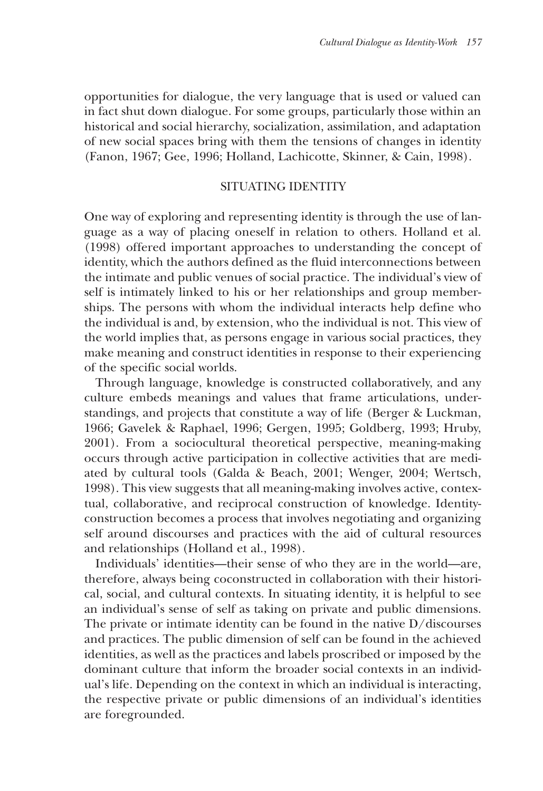opportunities for dialogue, the very language that is used or valued can in fact shut down dialogue. For some groups, particularly those within an historical and social hierarchy, socialization, assimilation, and adaptation of new social spaces bring with them the tensions of changes in identity (Fanon, 1967; Gee, 1996; Holland, Lachicotte, Skinner, & Cain, 1998).

#### SITUATING IDENTITY

One way of exploring and representing identity is through the use of language as a way of placing oneself in relation to others. Holland et al. (1998) offered important approaches to understanding the concept of identity, which the authors defined as the fluid interconnections between the intimate and public venues of social practice. The individual's view of self is intimately linked to his or her relationships and group memberships. The persons with whom the individual interacts help define who the individual is and, by extension, who the individual is not. This view of the world implies that, as persons engage in various social practices, they make meaning and construct identities in response to their experiencing of the specific social worlds.

Through language, knowledge is constructed collaboratively, and any culture embeds meanings and values that frame articulations, understandings, and projects that constitute a way of life (Berger & Luckman, 1966; Gavelek & Raphael, 1996; Gergen, 1995; Goldberg, 1993; Hruby, 2001). From a sociocultural theoretical perspective, meaning-making occurs through active participation in collective activities that are mediated by cultural tools (Galda & Beach, 2001; Wenger, 2004; Wertsch, 1998). This view suggests that all meaning-making involves active, contextual, collaborative, and reciprocal construction of knowledge. Identityconstruction becomes a process that involves negotiating and organizing self around discourses and practices with the aid of cultural resources and relationships (Holland et al., 1998).

Individuals' identities—their sense of who they are in the world—are, therefore, always being coconstructed in collaboration with their historical, social, and cultural contexts. In situating identity, it is helpful to see an individual's sense of self as taking on private and public dimensions. The private or intimate identity can be found in the native D/discourses and practices. The public dimension of self can be found in the achieved identities, as well as the practices and labels proscribed or imposed by the dominant culture that inform the broader social contexts in an individual's life. Depending on the context in which an individual is interacting, the respective private or public dimensions of an individual's identities are foregrounded.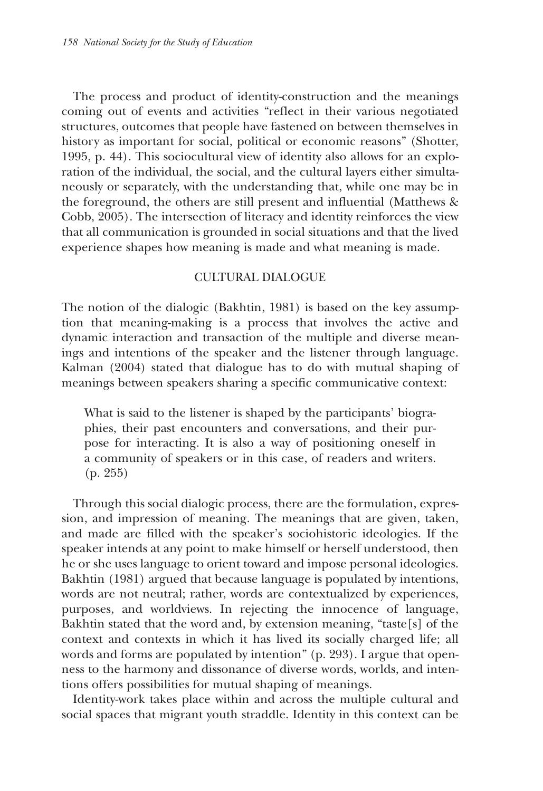The process and product of identity-construction and the meanings coming out of events and activities "reflect in their various negotiated structures, outcomes that people have fastened on between themselves in history as important for social, political or economic reasons" (Shotter, 1995, p. 44). This sociocultural view of identity also allows for an exploration of the individual, the social, and the cultural layers either simultaneously or separately, with the understanding that, while one may be in the foreground, the others are still present and influential (Matthews & Cobb, 2005). The intersection of literacy and identity reinforces the view that all communication is grounded in social situations and that the lived experience shapes how meaning is made and what meaning is made.

## CULTURAL DIALOGUE

The notion of the dialogic (Bakhtin, 1981) is based on the key assumption that meaning-making is a process that involves the active and dynamic interaction and transaction of the multiple and diverse meanings and intentions of the speaker and the listener through language. Kalman (2004) stated that dialogue has to do with mutual shaping of meanings between speakers sharing a specific communicative context:

What is said to the listener is shaped by the participants' biographies, their past encounters and conversations, and their purpose for interacting. It is also a way of positioning oneself in a community of speakers or in this case, of readers and writers. (p. 255)

Through this social dialogic process, there are the formulation, expression, and impression of meaning. The meanings that are given, taken, and made are filled with the speaker's sociohistoric ideologies. If the speaker intends at any point to make himself or herself understood, then he or she uses language to orient toward and impose personal ideologies. Bakhtin (1981) argued that because language is populated by intentions, words are not neutral; rather, words are contextualized by experiences, purposes, and worldviews. In rejecting the innocence of language, Bakhtin stated that the word and, by extension meaning, "taste[s] of the context and contexts in which it has lived its socially charged life; all words and forms are populated by intention" (p. 293). I argue that openness to the harmony and dissonance of diverse words, worlds, and intentions offers possibilities for mutual shaping of meanings.

Identity-work takes place within and across the multiple cultural and social spaces that migrant youth straddle. Identity in this context can be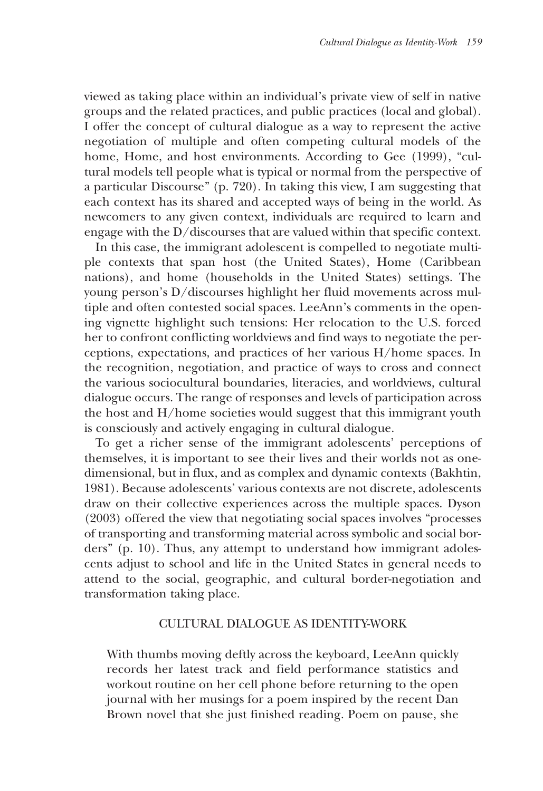viewed as taking place within an individual's private view of self in native groups and the related practices, and public practices (local and global). I offer the concept of cultural dialogue as a way to represent the active negotiation of multiple and often competing cultural models of the home, Home, and host environments. According to Gee (1999), "cultural models tell people what is typical or normal from the perspective of a particular Discourse" (p. 720). In taking this view, I am suggesting that each context has its shared and accepted ways of being in the world. As newcomers to any given context, individuals are required to learn and engage with the D/discourses that are valued within that specific context.

In this case, the immigrant adolescent is compelled to negotiate multiple contexts that span host (the United States), Home (Caribbean nations), and home (households in the United States) settings. The young person's D/discourses highlight her fluid movements across multiple and often contested social spaces. LeeAnn's comments in the opening vignette highlight such tensions: Her relocation to the U.S. forced her to confront conflicting worldviews and find ways to negotiate the perceptions, expectations, and practices of her various H/home spaces. In the recognition, negotiation, and practice of ways to cross and connect the various sociocultural boundaries, literacies, and worldviews, cultural dialogue occurs. The range of responses and levels of participation across the host and H/home societies would suggest that this immigrant youth is consciously and actively engaging in cultural dialogue.

To get a richer sense of the immigrant adolescents' perceptions of themselves, it is important to see their lives and their worlds not as onedimensional, but in flux, and as complex and dynamic contexts (Bakhtin, 1981). Because adolescents' various contexts are not discrete, adolescents draw on their collective experiences across the multiple spaces. Dyson (2003) offered the view that negotiating social spaces involves "processes of transporting and transforming material across symbolic and social borders" (p. 10). Thus, any attempt to understand how immigrant adolescents adjust to school and life in the United States in general needs to attend to the social, geographic, and cultural border-negotiation and transformation taking place.

#### CULTURAL DIALOGUE AS IDENTITY-WORK

With thumbs moving deftly across the keyboard, LeeAnn quickly records her latest track and field performance statistics and workout routine on her cell phone before returning to the open journal with her musings for a poem inspired by the recent Dan Brown novel that she just finished reading. Poem on pause, she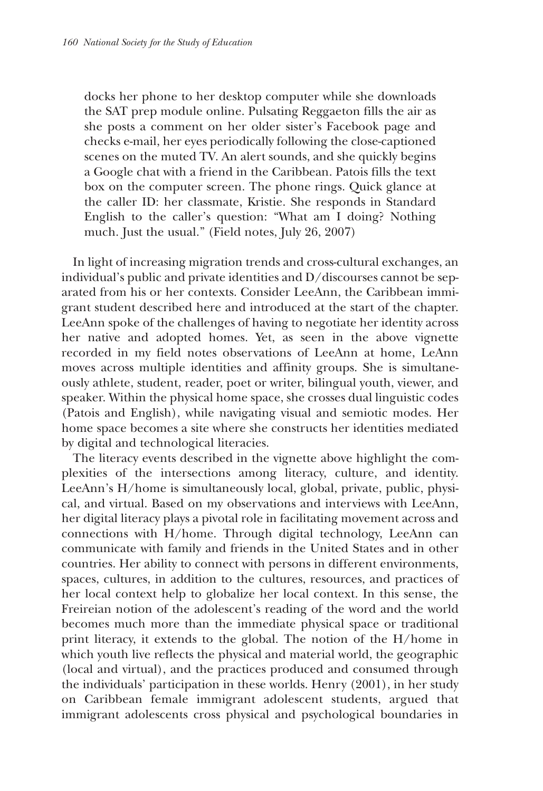docks her phone to her desktop computer while she downloads the SAT prep module online. Pulsating Reggaeton fills the air as she posts a comment on her older sister's Facebook page and checks e-mail, her eyes periodically following the close-captioned scenes on the muted TV. An alert sounds, and she quickly begins a Google chat with a friend in the Caribbean. Patois fills the text box on the computer screen. The phone rings. Quick glance at the caller ID: her classmate, Kristie. She responds in Standard English to the caller's question: "What am I doing? Nothing much. Just the usual." (Field notes, July 26, 2007)

In light of increasing migration trends and cross-cultural exchanges, an individual's public and private identities and D/discourses cannot be separated from his or her contexts. Consider LeeAnn, the Caribbean immigrant student described here and introduced at the start of the chapter. LeeAnn spoke of the challenges of having to negotiate her identity across her native and adopted homes. Yet, as seen in the above vignette recorded in my field notes observations of LeeAnn at home, LeAnn moves across multiple identities and affinity groups. She is simultaneously athlete, student, reader, poet or writer, bilingual youth, viewer, and speaker. Within the physical home space, she crosses dual linguistic codes (Patois and English), while navigating visual and semiotic modes. Her home space becomes a site where she constructs her identities mediated by digital and technological literacies.

The literacy events described in the vignette above highlight the complexities of the intersections among literacy, culture, and identity. LeeAnn's H/home is simultaneously local, global, private, public, physical, and virtual. Based on my observations and interviews with LeeAnn, her digital literacy plays a pivotal role in facilitating movement across and connections with H/home. Through digital technology, LeeAnn can communicate with family and friends in the United States and in other countries. Her ability to connect with persons in different environments, spaces, cultures, in addition to the cultures, resources, and practices of her local context help to globalize her local context. In this sense, the Freireian notion of the adolescent's reading of the word and the world becomes much more than the immediate physical space or traditional print literacy, it extends to the global. The notion of the H/home in which youth live reflects the physical and material world, the geographic (local and virtual), and the practices produced and consumed through the individuals' participation in these worlds. Henry (2001), in her study on Caribbean female immigrant adolescent students, argued that immigrant adolescents cross physical and psychological boundaries in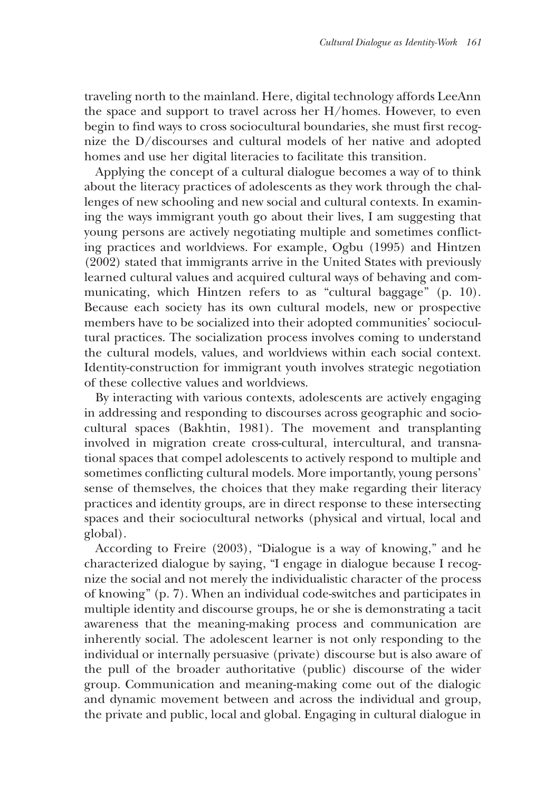traveling north to the mainland. Here, digital technology affords LeeAnn the space and support to travel across her H/homes. However, to even begin to find ways to cross sociocultural boundaries, she must first recognize the D/discourses and cultural models of her native and adopted homes and use her digital literacies to facilitate this transition.

Applying the concept of a cultural dialogue becomes a way of to think about the literacy practices of adolescents as they work through the challenges of new schooling and new social and cultural contexts. In examining the ways immigrant youth go about their lives, I am suggesting that young persons are actively negotiating multiple and sometimes conflicting practices and worldviews. For example, Ogbu (1995) and Hintzen (2002) stated that immigrants arrive in the United States with previously learned cultural values and acquired cultural ways of behaving and communicating, which Hintzen refers to as "cultural baggage" (p. 10). Because each society has its own cultural models, new or prospective members have to be socialized into their adopted communities' sociocultural practices. The socialization process involves coming to understand the cultural models, values, and worldviews within each social context. Identity-construction for immigrant youth involves strategic negotiation of these collective values and worldviews.

By interacting with various contexts, adolescents are actively engaging in addressing and responding to discourses across geographic and sociocultural spaces (Bakhtin, 1981). The movement and transplanting involved in migration create cross-cultural, intercultural, and transnational spaces that compel adolescents to actively respond to multiple and sometimes conflicting cultural models. More importantly, young persons' sense of themselves, the choices that they make regarding their literacy practices and identity groups, are in direct response to these intersecting spaces and their sociocultural networks (physical and virtual, local and global).

According to Freire (2003), "Dialogue is a way of knowing," and he characterized dialogue by saying, "I engage in dialogue because I recognize the social and not merely the individualistic character of the process of knowing" (p. 7). When an individual code-switches and participates in multiple identity and discourse groups, he or she is demonstrating a tacit awareness that the meaning-making process and communication are inherently social. The adolescent learner is not only responding to the individual or internally persuasive (private) discourse but is also aware of the pull of the broader authoritative (public) discourse of the wider group. Communication and meaning-making come out of the dialogic and dynamic movement between and across the individual and group, the private and public, local and global. Engaging in cultural dialogue in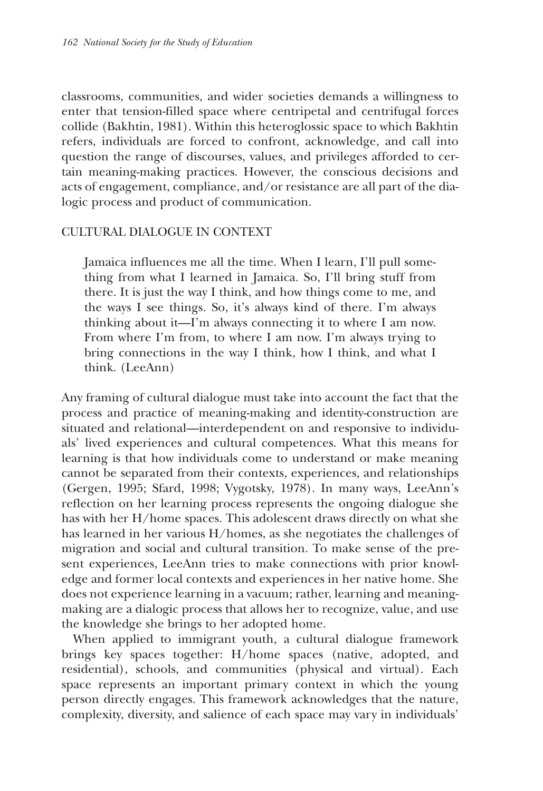classrooms, communities, and wider societies demands a willingness to enter that tension-filled space where centripetal and centrifugal forces collide (Bakhtin, 1981). Within this heteroglossic space to which Bakhtin refers, individuals are forced to confront, acknowledge, and call into question the range of discourses, values, and privileges afforded to certain meaning-making practices. However, the conscious decisions and acts of engagement, compliance, and/or resistance are all part of the dialogic process and product of communication.

## CULTURAL DIALOGUE IN CONTEXT

Jamaica influences me all the time. When I learn, I'll pull something from what I learned in Jamaica. So, I'll bring stuff from there. It is just the way I think, and how things come to me, and the ways I see things. So, it's always kind of there. I'm always thinking about it—I'm always connecting it to where I am now. From where I'm from, to where I am now. I'm always trying to bring connections in the way I think, how I think, and what I think. (LeeAnn)

Any framing of cultural dialogue must take into account the fact that the process and practice of meaning-making and identity-construction are situated and relational—interdependent on and responsive to individuals' lived experiences and cultural competences. What this means for learning is that how individuals come to understand or make meaning cannot be separated from their contexts, experiences, and relationships (Gergen, 1995; Sfard, 1998; Vygotsky, 1978). In many ways, LeeAnn's reflection on her learning process represents the ongoing dialogue she has with her H/home spaces. This adolescent draws directly on what she has learned in her various H/homes, as she negotiates the challenges of migration and social and cultural transition. To make sense of the present experiences, LeeAnn tries to make connections with prior knowledge and former local contexts and experiences in her native home. She does not experience learning in a vacuum; rather, learning and meaningmaking are a dialogic process that allows her to recognize, value, and use the knowledge she brings to her adopted home.

When applied to immigrant youth, a cultural dialogue framework brings key spaces together: H/home spaces (native, adopted, and residential), schools, and communities (physical and virtual). Each space represents an important primary context in which the young person directly engages. This framework acknowledges that the nature, complexity, diversity, and salience of each space may vary in individuals'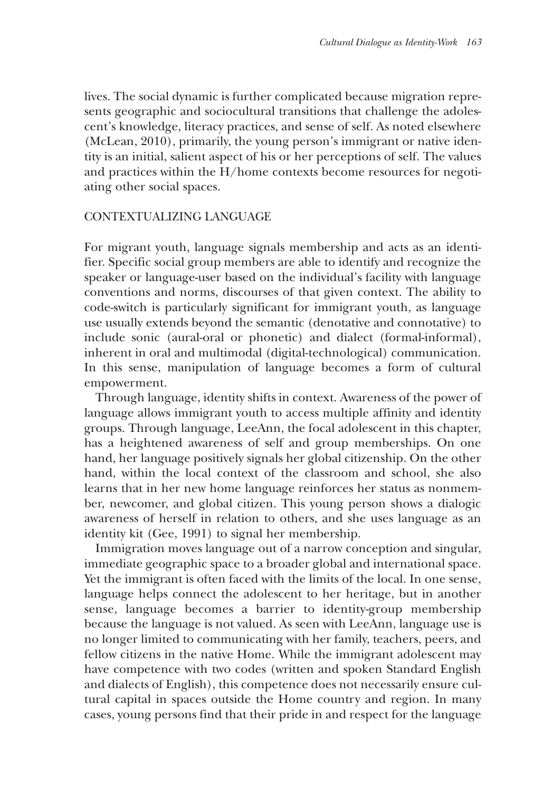lives. The social dynamic is further complicated because migration represents geographic and sociocultural transitions that challenge the adolescent's knowledge, literacy practices, and sense of self. As noted elsewhere (McLean, 2010), primarily, the young person's immigrant or native identity is an initial, salient aspect of his or her perceptions of self. The values and practices within the H/home contexts become resources for negotiating other social spaces.

# CONTEXTUALIZING LANGUAGE

For migrant youth, language signals membership and acts as an identifier. Specific social group members are able to identify and recognize the speaker or language-user based on the individual's facility with language conventions and norms, discourses of that given context. The ability to code-switch is particularly significant for immigrant youth, as language use usually extends beyond the semantic (denotative and connotative) to include sonic (aural-oral or phonetic) and dialect (formal-informal), inherent in oral and multimodal (digital-technological) communication. In this sense, manipulation of language becomes a form of cultural empowerment.

Through language, identity shifts in context. Awareness of the power of language allows immigrant youth to access multiple affinity and identity groups. Through language, LeeAnn, the focal adolescent in this chapter, has a heightened awareness of self and group memberships. On one hand, her language positively signals her global citizenship. On the other hand, within the local context of the classroom and school, she also learns that in her new home language reinforces her status as nonmember, newcomer, and global citizen. This young person shows a dialogic awareness of herself in relation to others, and she uses language as an identity kit (Gee, 1991) to signal her membership.

Immigration moves language out of a narrow conception and singular, immediate geographic space to a broader global and international space. Yet the immigrant is often faced with the limits of the local. In one sense, language helps connect the adolescent to her heritage, but in another sense, language becomes a barrier to identity-group membership because the language is not valued. As seen with LeeAnn, language use is no longer limited to communicating with her family, teachers, peers, and fellow citizens in the native Home. While the immigrant adolescent may have competence with two codes (written and spoken Standard English and dialects of English), this competence does not necessarily ensure cultural capital in spaces outside the Home country and region. In many cases, young persons find that their pride in and respect for the language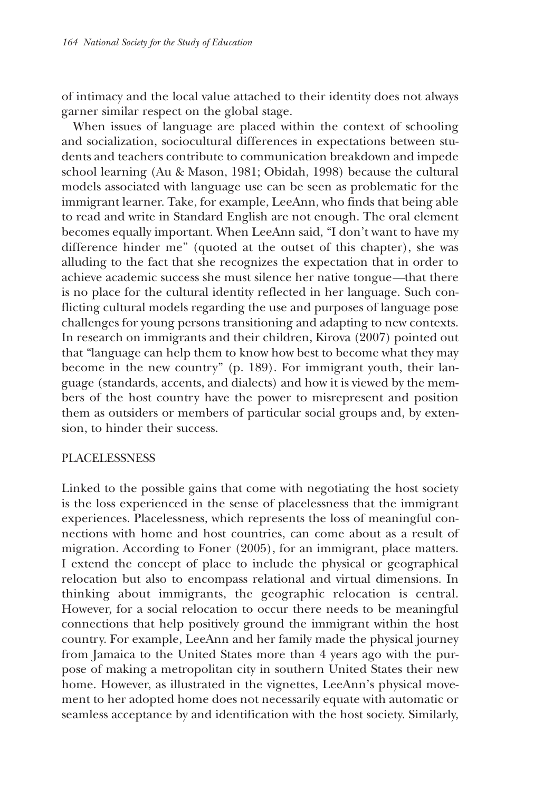of intimacy and the local value attached to their identity does not always garner similar respect on the global stage.

When issues of language are placed within the context of schooling and socialization, sociocultural differences in expectations between students and teachers contribute to communication breakdown and impede school learning (Au & Mason, 1981; Obidah, 1998) because the cultural models associated with language use can be seen as problematic for the immigrant learner. Take, for example, LeeAnn, who finds that being able to read and write in Standard English are not enough. The oral element becomes equally important. When LeeAnn said, "I don't want to have my difference hinder me" (quoted at the outset of this chapter), she was alluding to the fact that she recognizes the expectation that in order to achieve academic success she must silence her native tongue*—*that there is no place for the cultural identity reflected in her language. Such conflicting cultural models regarding the use and purposes of language pose challenges for young persons transitioning and adapting to new contexts. In research on immigrants and their children, Kirova (2007) pointed out that "language can help them to know how best to become what they may become in the new country" (p. 189). For immigrant youth, their language (standards, accents, and dialects) and how it is viewed by the members of the host country have the power to misrepresent and position them as outsiders or members of particular social groups and, by extension, to hinder their success.

## PLACELESSNESS

Linked to the possible gains that come with negotiating the host society is the loss experienced in the sense of placelessness that the immigrant experiences. Placelessness, which represents the loss of meaningful connections with home and host countries, can come about as a result of migration. According to Foner (2005), for an immigrant, place matters. I extend the concept of place to include the physical or geographical relocation but also to encompass relational and virtual dimensions. In thinking about immigrants, the geographic relocation is central. However, for a social relocation to occur there needs to be meaningful connections that help positively ground the immigrant within the host country. For example, LeeAnn and her family made the physical journey from Jamaica to the United States more than 4 years ago with the purpose of making a metropolitan city in southern United States their new home. However, as illustrated in the vignettes, LeeAnn's physical movement to her adopted home does not necessarily equate with automatic or seamless acceptance by and identification with the host society. Similarly,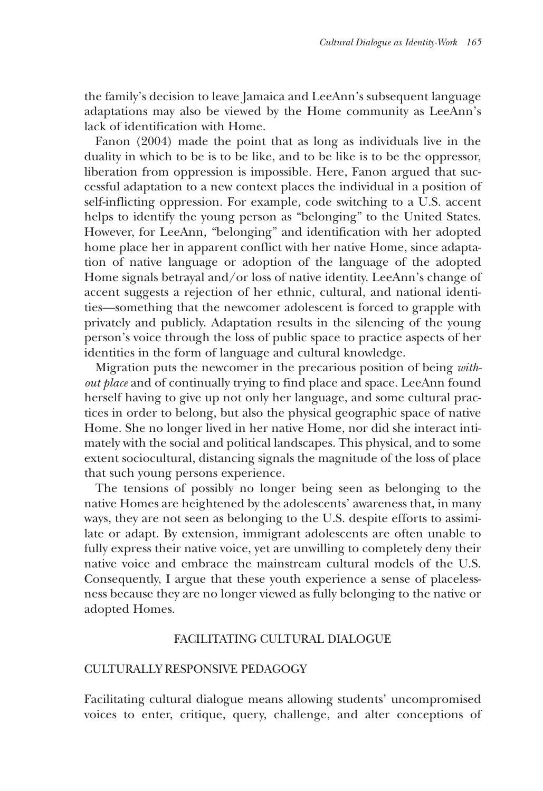the family's decision to leave Jamaica and LeeAnn's subsequent language adaptations may also be viewed by the Home community as LeeAnn's lack of identification with Home.

Fanon (2004) made the point that as long as individuals live in the duality in which to be is to be like, and to be like is to be the oppressor, liberation from oppression is impossible. Here, Fanon argued that successful adaptation to a new context places the individual in a position of self-inflicting oppression. For example, code switching to a U.S. accent helps to identify the young person as "belonging" to the United States. However, for LeeAnn, "belonging" and identification with her adopted home place her in apparent conflict with her native Home, since adaptation of native language or adoption of the language of the adopted Home signals betrayal and/or loss of native identity. LeeAnn's change of accent suggests a rejection of her ethnic, cultural, and national identities—something that the newcomer adolescent is forced to grapple with privately and publicly. Adaptation results in the silencing of the young person's voice through the loss of public space to practice aspects of her identities in the form of language and cultural knowledge.

Migration puts the newcomer in the precarious position of being *without place* and of continually trying to find place and space. LeeAnn found herself having to give up not only her language, and some cultural practices in order to belong, but also the physical geographic space of native Home. She no longer lived in her native Home, nor did she interact intimately with the social and political landscapes. This physical, and to some extent sociocultural, distancing signals the magnitude of the loss of place that such young persons experience.

The tensions of possibly no longer being seen as belonging to the native Homes are heightened by the adolescents' awareness that, in many ways, they are not seen as belonging to the U.S. despite efforts to assimilate or adapt. By extension, immigrant adolescents are often unable to fully express their native voice, yet are unwilling to completely deny their native voice and embrace the mainstream cultural models of the U.S. Consequently, I argue that these youth experience a sense of placelessness because they are no longer viewed as fully belonging to the native or adopted Homes.

#### FACILITATING CULTURAL DIALOGUE

#### CULTURALLY RESPONSIVE PEDAGOGY

Facilitating cultural dialogue means allowing students' uncompromised voices to enter, critique, query, challenge, and alter conceptions of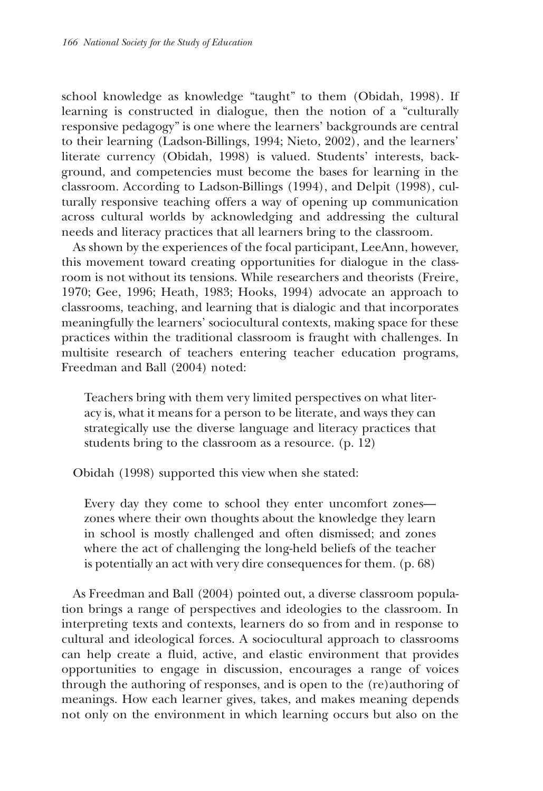school knowledge as knowledge "taught" to them (Obidah, 1998). If learning is constructed in dialogue, then the notion of a "culturally responsive pedagogy" is one where the learners' backgrounds are central to their learning (Ladson-Billings, 1994; Nieto, 2002), and the learners' literate currency (Obidah, 1998) is valued. Students' interests, background, and competencies must become the bases for learning in the classroom. According to Ladson-Billings (1994), and Delpit (1998), culturally responsive teaching offers a way of opening up communication across cultural worlds by acknowledging and addressing the cultural needs and literacy practices that all learners bring to the classroom.

As shown by the experiences of the focal participant, LeeAnn, however, this movement toward creating opportunities for dialogue in the classroom is not without its tensions. While researchers and theorists (Freire, 1970; Gee, 1996; Heath, 1983; Hooks, 1994) advocate an approach to classrooms, teaching, and learning that is dialogic and that incorporates meaningfully the learners' sociocultural contexts, making space for these practices within the traditional classroom is fraught with challenges. In multisite research of teachers entering teacher education programs, Freedman and Ball (2004) noted:

Teachers bring with them very limited perspectives on what literacy is, what it means for a person to be literate, and ways they can strategically use the diverse language and literacy practices that students bring to the classroom as a resource. (p. 12)

Obidah (1998) supported this view when she stated:

Every day they come to school they enter uncomfort zones zones where their own thoughts about the knowledge they learn in school is mostly challenged and often dismissed; and zones where the act of challenging the long-held beliefs of the teacher is potentially an act with very dire consequences for them. (p. 68)

As Freedman and Ball (2004) pointed out, a diverse classroom population brings a range of perspectives and ideologies to the classroom. In interpreting texts and contexts, learners do so from and in response to cultural and ideological forces. A sociocultural approach to classrooms can help create a fluid, active, and elastic environment that provides opportunities to engage in discussion, encourages a range of voices through the authoring of responses, and is open to the (re)authoring of meanings. How each learner gives, takes, and makes meaning depends not only on the environment in which learning occurs but also on the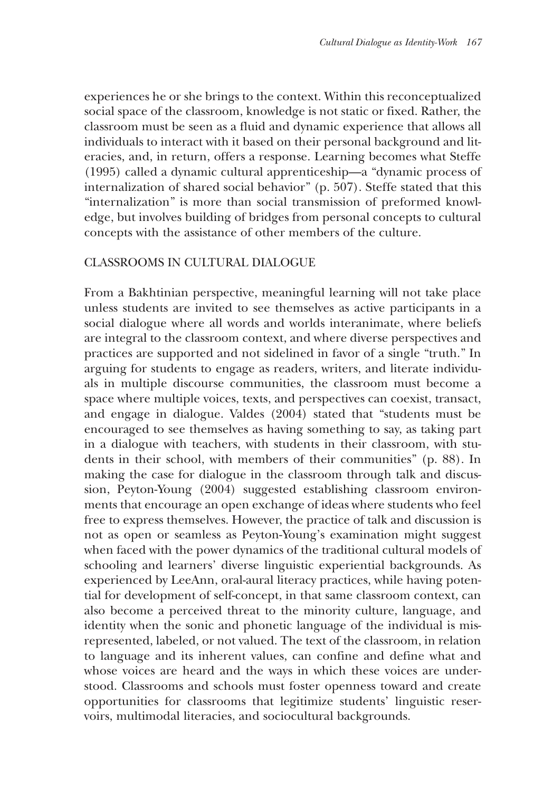experiences he or she brings to the context. Within this reconceptualized social space of the classroom, knowledge is not static or fixed. Rather, the classroom must be seen as a fluid and dynamic experience that allows all individuals to interact with it based on their personal background and literacies, and, in return, offers a response. Learning becomes what Steffe (1995) called a dynamic cultural apprenticeship—a "dynamic process of internalization of shared social behavior" (p. 507). Steffe stated that this "internalization" is more than social transmission of preformed knowledge, but involves building of bridges from personal concepts to cultural concepts with the assistance of other members of the culture.

# CLASSROOMS IN CULTURAL DIALOGUE

From a Bakhtinian perspective, meaningful learning will not take place unless students are invited to see themselves as active participants in a social dialogue where all words and worlds interanimate, where beliefs are integral to the classroom context, and where diverse perspectives and practices are supported and not sidelined in favor of a single "truth." In arguing for students to engage as readers, writers, and literate individuals in multiple discourse communities, the classroom must become a space where multiple voices, texts, and perspectives can coexist, transact, and engage in dialogue. Valdes (2004) stated that "students must be encouraged to see themselves as having something to say, as taking part in a dialogue with teachers, with students in their classroom, with students in their school, with members of their communities" (p. 88). In making the case for dialogue in the classroom through talk and discussion, Peyton-Young (2004) suggested establishing classroom environments that encourage an open exchange of ideas where students who feel free to express themselves. However, the practice of talk and discussion is not as open or seamless as Peyton-Young's examination might suggest when faced with the power dynamics of the traditional cultural models of schooling and learners' diverse linguistic experiential backgrounds. As experienced by LeeAnn, oral-aural literacy practices, while having potential for development of self-concept, in that same classroom context, can also become a perceived threat to the minority culture, language, and identity when the sonic and phonetic language of the individual is misrepresented, labeled, or not valued. The text of the classroom, in relation to language and its inherent values, can confine and define what and whose voices are heard and the ways in which these voices are understood. Classrooms and schools must foster openness toward and create opportunities for classrooms that legitimize students' linguistic reservoirs, multimodal literacies, and sociocultural backgrounds.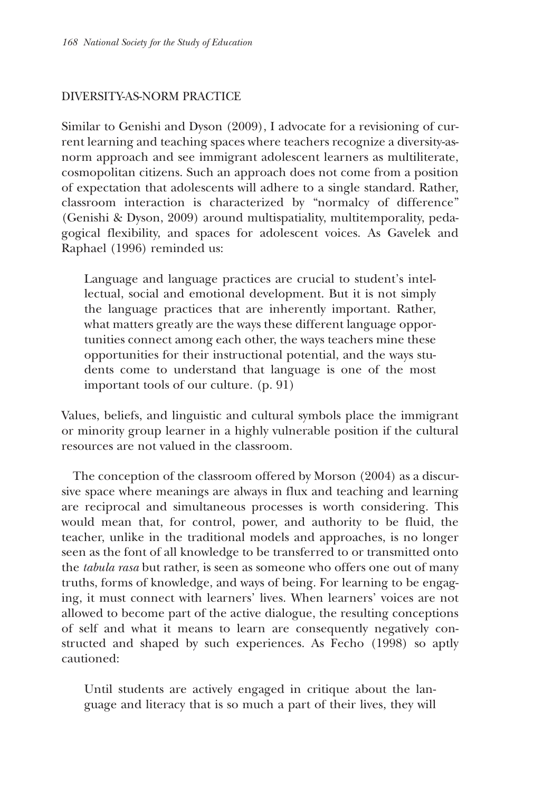# DIVERSITY-AS-NORM PRACTICE

Similar to Genishi and Dyson (2009), I advocate for a revisioning of current learning and teaching spaces where teachers recognize a diversity-asnorm approach and see immigrant adolescent learners as multiliterate, cosmopolitan citizens. Such an approach does not come from a position of expectation that adolescents will adhere to a single standard. Rather, classroom interaction is characterized by "normalcy of difference" (Genishi & Dyson, 2009) around multispatiality, multitemporality, pedagogical flexibility, and spaces for adolescent voices. As Gavelek and Raphael (1996) reminded us:

Language and language practices are crucial to student's intellectual, social and emotional development. But it is not simply the language practices that are inherently important. Rather, what matters greatly are the ways these different language opportunities connect among each other, the ways teachers mine these opportunities for their instructional potential, and the ways students come to understand that language is one of the most important tools of our culture. (p. 91)

Values, beliefs, and linguistic and cultural symbols place the immigrant or minority group learner in a highly vulnerable position if the cultural resources are not valued in the classroom.

The conception of the classroom offered by Morson (2004) as a discursive space where meanings are always in flux and teaching and learning are reciprocal and simultaneous processes is worth considering. This would mean that, for control, power, and authority to be fluid, the teacher, unlike in the traditional models and approaches, is no longer seen as the font of all knowledge to be transferred to or transmitted onto the *tabula rasa* but rather, is seen as someone who offers one out of many truths, forms of knowledge, and ways of being. For learning to be engaging, it must connect with learners' lives. When learners' voices are not allowed to become part of the active dialogue, the resulting conceptions of self and what it means to learn are consequently negatively constructed and shaped by such experiences. As Fecho (1998) so aptly cautioned:

Until students are actively engaged in critique about the language and literacy that is so much a part of their lives, they will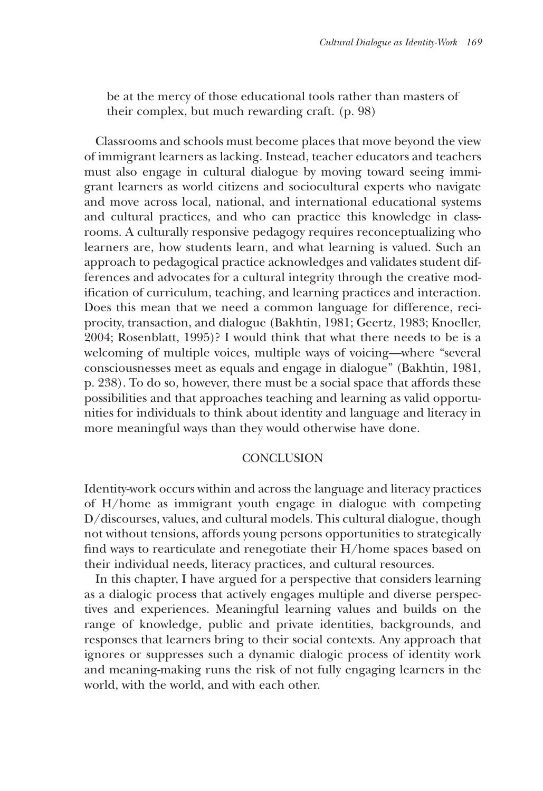be at the mercy of those educational tools rather than masters of their complex, but much rewarding craft. (p. 98)

Classrooms and schools must become places that move beyond the view of immigrant learners as lacking. Instead, teacher educators and teachers must also engage in cultural dialogue by moving toward seeing immigrant learners as world citizens and sociocultural experts who navigate and move across local, national, and international educational systems and cultural practices, and who can practice this knowledge in classrooms. A culturally responsive pedagogy requires reconceptualizing who learners are, how students learn, and what learning is valued. Such an approach to pedagogical practice acknowledges and validates student differences and advocates for a cultural integrity through the creative modification of curriculum, teaching, and learning practices and interaction. Does this mean that we need a common language for difference, reciprocity, transaction, and dialogue (Bakhtin, 1981; Geertz, 1983; Knoeller, 2004; Rosenblatt, 1995)? I would think that what there needs to be is a welcoming of multiple voices, multiple ways of voicing—where "several consciousnesses meet as equals and engage in dialogue" (Bakhtin, 1981, p. 238). To do so, however, there must be a social space that affords these possibilities and that approaches teaching and learning as valid opportunities for individuals to think about identity and language and literacy in more meaningful ways than they would otherwise have done.

#### **CONCLUSION**

Identity-work occurs within and across the language and literacy practices of H/home as immigrant youth engage in dialogue with competing D/discourses, values, and cultural models. This cultural dialogue, though not without tensions, affords young persons opportunities to strategically find ways to rearticulate and renegotiate their H/home spaces based on their individual needs, literacy practices, and cultural resources.

In this chapter, I have argued for a perspective that considers learning as a dialogic process that actively engages multiple and diverse perspectives and experiences. Meaningful learning values and builds on the range of knowledge, public and private identities, backgrounds, and responses that learners bring to their social contexts. Any approach that ignores or suppresses such a dynamic dialogic process of identity work and meaning-making runs the risk of not fully engaging learners in the world, with the world, and with each other.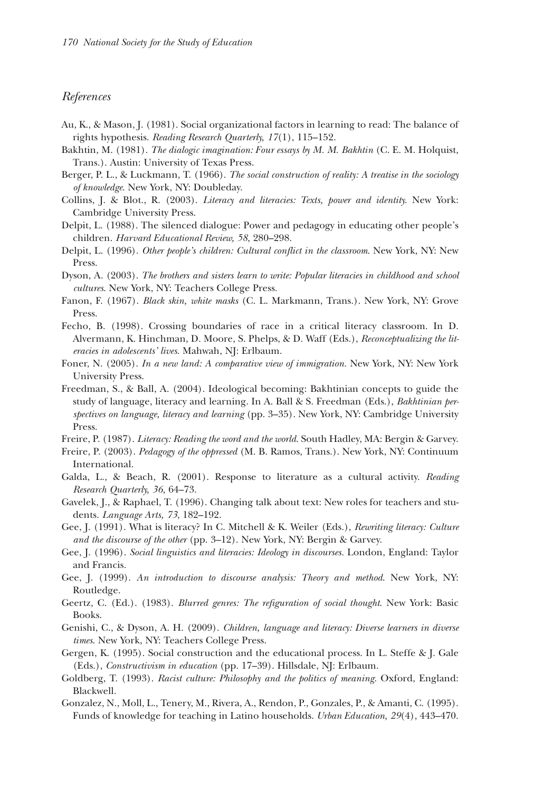#### *References*

- Au, K., & Mason, J. (1981). Social organizational factors in learning to read: The balance of rights hypothesis. *Reading Research Quarterly, 17*(1), 115–152.
- Bakhtin, M. (1981). *The dialogic imagination: Four essays by M. M. Bakhtin* (C. E. M. Holquist, Trans.). Austin: University of Texas Press.
- Berger, P. L., & Luckmann, T. (1966). *The social construction of reality: A treatise in the sociology of knowledge*. New York, NY: Doubleday.
- Collins, J. & Blot., R. (2003). *Literacy and literacies: Texts, power and identity.* New York: Cambridge University Press.
- Delpit, L. (1988). The silenced dialogue: Power and pedagogy in educating other people's children. *Harvard Educational Review, 58*, 280–298.
- Delpit, L. (1996). *Other people's children: Cultural conflict in the classroom*. New York, NY: New Press.
- Dyson, A. (2003). *The brothers and sisters learn to write: Popular literacies in childhood and school cultures*. New York, NY: Teachers College Press.
- Fanon, F. (1967). *Black skin, white masks* (C. L. Markmann, Trans.). New York, NY: Grove Press.
- Fecho, B. (1998). Crossing boundaries of race in a critical literacy classroom. In D. Alvermann, K. Hinchman, D. Moore, S. Phelps, & D. Waff (Eds.), *Reconceptualizing the literacies in adolescents' lives*. Mahwah, NJ: Erlbaum.
- Foner, N. (2005). *In a new land: A comparative view of immigration.* New York, NY: New York University Press.
- Freedman, S., & Ball, A. (2004). Ideological becoming: Bakhtinian concepts to guide the study of language, literacy and learning. In A. Ball & S. Freedman (Eds.), *Bakhtinian perspectives on language, literacy and learning* (pp. 3–35). New York, NY: Cambridge University Press.
- Freire, P. (1987). *Literacy: Reading the word and the world*. South Hadley, MA: Bergin & Garvey.
- Freire, P. (2003). *Pedagogy of the oppressed* (M. B. Ramos, Trans.). New York, NY: Continuum International.
- Galda, L., & Beach, R. (2001). Response to literature as a cultural activity. *Reading Research Quarterly, 36,* 64–73.
- Gavelek, J., & Raphael, T. (1996). Changing talk about text: New roles for teachers and students. *Language Arts, 73*, 182–192.
- Gee, J. (1991). What is literacy? In C. Mitchell & K. Weiler (Eds.), *Rewriting literacy: Culture and the discourse of the other* (pp. 3–12). New York, NY: Bergin & Garvey.
- Gee, J. (1996). *Social linguistics and literacies: Ideology in discourses.* London, England: Taylor and Francis.
- Gee, J. (1999). *An introduction to discourse analysis: Theory and method*. New York, NY: Routledge.
- Geertz, C. (Ed.). (1983). *Blurred genres: The refiguration of social thought*. New York: Basic Books.
- Genishi, C., & Dyson, A. H. (2009). *Children, language and literacy: Diverse learners in diverse times*. New York, NY: Teachers College Press.
- Gergen, K. (1995). Social construction and the educational process. In L. Steffe & J. Gale (Eds.), *Constructivism in education* (pp. 17–39). Hillsdale, NJ: Erlbaum.
- Goldberg, T. (1993). *Racist culture: Philosophy and the politics of meaning*. Oxford, England: Blackwell.
- Gonzalez, N., Moll, L., Tenery, M., Rivera, A., Rendon, P., Gonzales, P., & Amanti, C. (1995). Funds of knowledge for teaching in Latino households. *Urban Education, 29*(4), 443–470.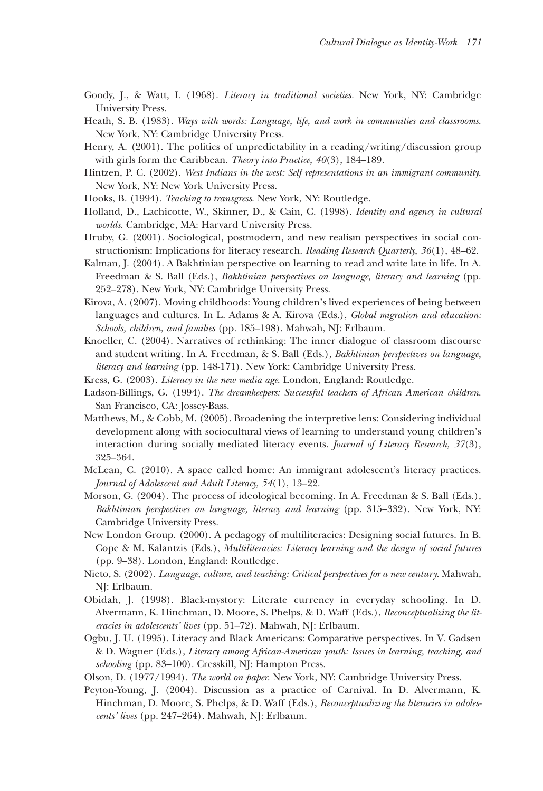- Goody, J., & Watt, I. (1968). *Literacy in traditional societies.* New York, NY: Cambridge University Press.
- Heath, S. B. (1983). *Ways with words: Language, life, and work in communities and classrooms*. New York, NY: Cambridge University Press.
- Henry, A. (2001). The politics of unpredictability in a reading/writing/discussion group with girls form the Caribbean. *Theory into Practice, 40*(3), 184–189.
- Hintzen, P. C. (2002). *West Indians in the west: Self representations in an immigrant community*. New York, NY: New York University Press.
- Hooks, B. (1994). *Teaching to transgress*. New York, NY: Routledge.
- Holland, D., Lachicotte, W., Skinner, D., & Cain, C. (1998). *Identity and agency in cultural worlds*. Cambridge, MA: Harvard University Press.
- Hruby, G. (2001). Sociological, postmodern, and new realism perspectives in social constructionism: Implications for literacy research. *Reading Research Quarterly, 36*(1), 48–62.
- Kalman, J. (2004). A Bakhtinian perspective on learning to read and write late in life. In A. Freedman & S. Ball (Eds.), *Bakhtinian perspectives on language, literacy and learning* (pp. 252–278). New York, NY: Cambridge University Press.
- Kirova, A. (2007). Moving childhoods: Young children's lived experiences of being between languages and cultures. In L. Adams & A. Kirova (Eds.), *Global migration and education: Schools, children, and families* (pp. 185–198). Mahwah, NJ: Erlbaum.
- Knoeller, C. (2004). Narratives of rethinking: The inner dialogue of classroom discourse and student writing. In A. Freedman, & S. Ball (Eds.), *Bakhtinian perspectives on language, literacy and learning* (pp. 148-171). New York: Cambridge University Press.
- Kress, G. (2003). *Literacy in the new media age*. London, England: Routledge.
- Ladson-Billings, G. (1994). *The dreamkeepers: Successful teachers of African American children*. San Francisco, CA: Jossey-Bass.
- Matthews, M., & Cobb, M. (2005). Broadening the interpretive lens: Considering individual development along with sociocultural views of learning to understand young children's interaction during socially mediated literacy events. *Journal of Literacy Research, 37*(3), 325–364.
- McLean, C. (2010). A space called home: An immigrant adolescent's literacy practices. *Journal of Adolescent and Adult Literacy, 54*(1), 13–22.
- Morson, G. (2004). The process of ideological becoming. In A. Freedman & S. Ball (Eds.), *Bakhtinian perspectives on language, literacy and learning* (pp. 315–332). New York, NY: Cambridge University Press.
- New London Group. (2000). A pedagogy of multiliteracies: Designing social futures. In B. Cope & M. Kalantzis (Eds.), *Multiliteracies: Literacy learning and the design of social futures* (pp. 9–38). London, England: Routledge.
- Nieto, S. (2002). *Language, culture, and teaching: Critical perspectives for a new century*. Mahwah, NJ: Erlbaum.
- Obidah, J. (1998). Black-mystory: Literate currency in everyday schooling. In D. Alvermann, K. Hinchman, D. Moore, S. Phelps, & D. Waff (Eds.), *Reconceptualizing the literacies in adolescents' lives* (pp. 51–72). Mahwah, NJ: Erlbaum.
- Ogbu, J. U. (1995). Literacy and Black Americans: Comparative perspectives. In V. Gadsen & D. Wagner (Eds.), *Literacy among African-American youth: Issues in learning, teaching, and schooling* (pp. 83–100). Cresskill, NJ: Hampton Press.
- Olson, D. (1977/1994). *The world on paper*. New York, NY: Cambridge University Press.
- Peyton-Young, J. (2004). Discussion as a practice of Carnival. In D. Alvermann, K. Hinchman, D. Moore, S. Phelps, & D. Waff (Eds.), *Reconceptualizing the literacies in adolescents' lives* (pp. 247–264). Mahwah, NJ: Erlbaum.